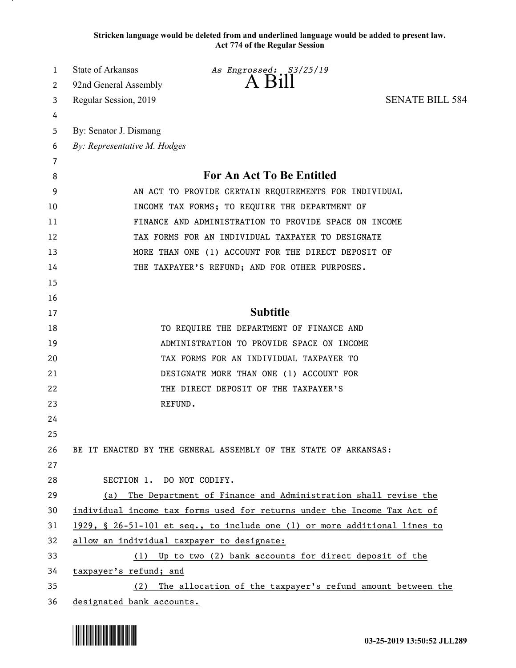**Stricken language would be deleted from and underlined language would be added to present law. Act 774 of the Regular Session**

| 1        | State of Arkansas<br>As Engrossed: S3/25/19<br>$\Delta$ $H1$              |
|----------|---------------------------------------------------------------------------|
| 2        | 92nd General Assembly                                                     |
| 3        | <b>SENATE BILL 584</b><br>Regular Session, 2019                           |
| 4        |                                                                           |
| 5        | By: Senator J. Dismang                                                    |
| 6        | By: Representative M. Hodges                                              |
| 7        | For An Act To Be Entitled                                                 |
| 8        |                                                                           |
| 9        | AN ACT TO PROVIDE CERTAIN REQUIREMENTS FOR INDIVIDUAL                     |
| 10       | INCOME TAX FORMS; TO REQUIRE THE DEPARTMENT OF                            |
| 11       | FINANCE AND ADMINISTRATION TO PROVIDE SPACE ON INCOME                     |
| 12       | TAX FORMS FOR AN INDIVIDUAL TAXPAYER TO DESIGNATE                         |
| 13<br>14 | MORE THAN ONE (1) ACCOUNT FOR THE DIRECT DEPOSIT OF                       |
| 15       | THE TAXPAYER'S REFUND; AND FOR OTHER PURPOSES.                            |
| 16       |                                                                           |
| 17       | <b>Subtitle</b>                                                           |
| 18       | TO REQUIRE THE DEPARTMENT OF FINANCE AND                                  |
| 19       | ADMINISTRATION TO PROVIDE SPACE ON INCOME                                 |
| 20       | TAX FORMS FOR AN INDIVIDUAL TAXPAYER TO                                   |
| 21       | DESIGNATE MORE THAN ONE (1) ACCOUNT FOR                                   |
| 22       | THE DIRECT DEPOSIT OF THE TAXPAYER'S                                      |
| 23       | REFUND.                                                                   |
| 24       |                                                                           |
| 25       |                                                                           |
| 26       | BE IT ENACTED BY THE GENERAL ASSEMBLY OF THE STATE OF ARKANSAS:           |
| 27       |                                                                           |
| 28       | SECTION 1. DO NOT CODIFY.                                                 |
| 29       | The Department of Finance and Administration shall revise the<br>(a)      |
| 30       | individual income tax forms used for returns under the Income Tax Act of  |
| 31       | 1929, § 26-51-101 et seq., to include one (1) or more additional lines to |
| 32       | allow an individual taxpayer to designate:                                |
| 33       | (1) Up to two (2) bank accounts for direct deposit of the                 |
| 34       | taxpayer's refund; and                                                    |
| 35       | (2) The allocation of the taxpayer's refund amount between the            |
| 36       | designated bank accounts.                                                 |